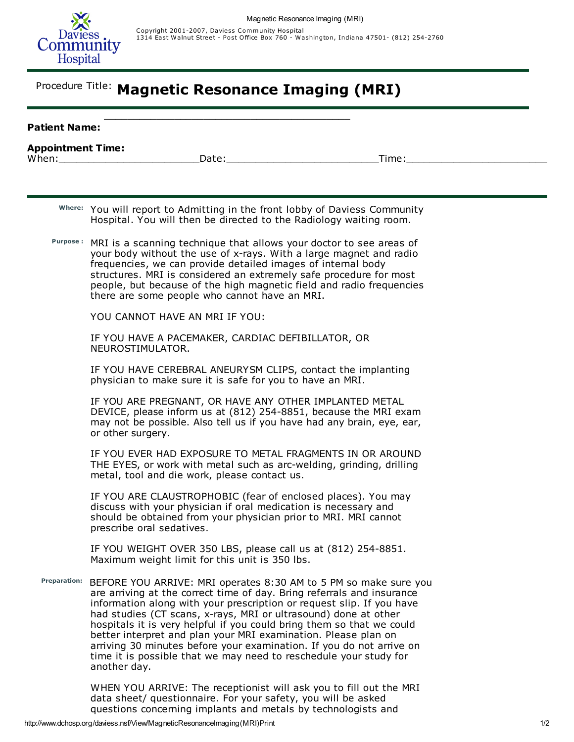

Copyright 2001-2007, Daviess Community Hospital<br>1314 East Walnut Street - Post Office Box 760 - Washington, Indiana 47501- (812) 254-2760

## Procedure Title: Magnetic Resonance Imaging (MRI)

| <b>Patient Name:</b> |                                                                                                                                                                                                                                                                                                                                                                                                                                                                                                                                                                                                |  |
|----------------------|------------------------------------------------------------------------------------------------------------------------------------------------------------------------------------------------------------------------------------------------------------------------------------------------------------------------------------------------------------------------------------------------------------------------------------------------------------------------------------------------------------------------------------------------------------------------------------------------|--|
|                      |                                                                                                                                                                                                                                                                                                                                                                                                                                                                                                                                                                                                |  |
|                      |                                                                                                                                                                                                                                                                                                                                                                                                                                                                                                                                                                                                |  |
|                      | Where: You will report to Admitting in the front lobby of Daviess Community<br>Hospital. You will then be directed to the Radiology waiting room.                                                                                                                                                                                                                                                                                                                                                                                                                                              |  |
|                      | Purpose: MRI is a scanning technique that allows your doctor to see areas of<br>your body without the use of x-rays. With a large magnet and radio<br>frequencies, we can provide detailed images of internal body<br>structures. MRI is considered an extremely safe procedure for most<br>people, but because of the high magnetic field and radio frequencies<br>there are some people who cannot have an MRI.                                                                                                                                                                              |  |
|                      | YOU CANNOT HAVE AN MRI IF YOU:                                                                                                                                                                                                                                                                                                                                                                                                                                                                                                                                                                 |  |
|                      | IF YOU HAVE A PACEMAKER, CARDIAC DEFIBILLATOR, OR<br>NEUROSTIMULATOR.                                                                                                                                                                                                                                                                                                                                                                                                                                                                                                                          |  |
|                      | IF YOU HAVE CEREBRAL ANEURYSM CLIPS, contact the implanting<br>physician to make sure it is safe for you to have an MRI.                                                                                                                                                                                                                                                                                                                                                                                                                                                                       |  |
|                      | IF YOU ARE PREGNANT, OR HAVE ANY OTHER IMPLANTED METAL<br>DEVICE, please inform us at (812) 254-8851, because the MRI exam<br>may not be possible. Also tell us if you have had any brain, eye, ear,<br>or other surgery.                                                                                                                                                                                                                                                                                                                                                                      |  |
|                      | IF YOU EVER HAD EXPOSURE TO METAL FRAGMENTS IN OR AROUND<br>THE EYES, or work with metal such as arc-welding, grinding, drilling<br>metal, tool and die work, please contact us.                                                                                                                                                                                                                                                                                                                                                                                                               |  |
|                      | IF YOU ARE CLAUSTROPHOBIC (fear of enclosed places). You may<br>discuss with your physician if oral medication is necessary and<br>should be obtained from your physician prior to MRI. MRI cannot<br>prescribe oral sedatives.                                                                                                                                                                                                                                                                                                                                                                |  |
|                      | IF YOU WEIGHT OVER 350 LBS, please call us at (812) 254-8851.<br>Maximum weight limit for this unit is 350 lbs.                                                                                                                                                                                                                                                                                                                                                                                                                                                                                |  |
| Preparation:         | BEFORE YOU ARRIVE: MRI operates 8:30 AM to 5 PM so make sure you<br>are arriving at the correct time of day. Bring referrals and insurance<br>information along with your prescription or request slip. If you have<br>had studies (CT scans, x-rays, MRI or ultrasound) done at other<br>hospitals it is very helpful if you could bring them so that we could<br>better interpret and plan your MRI examination. Please plan on<br>arriving 30 minutes before your examination. If you do not arrive on<br>time it is possible that we may need to reschedule your study for<br>another day. |  |

WHEN YOU ARRIVE: The receptionist will ask you to fill out the MRI data sheet/ questionnaire. For your safety, you will be asked questions concerning implants and metals by technologists and